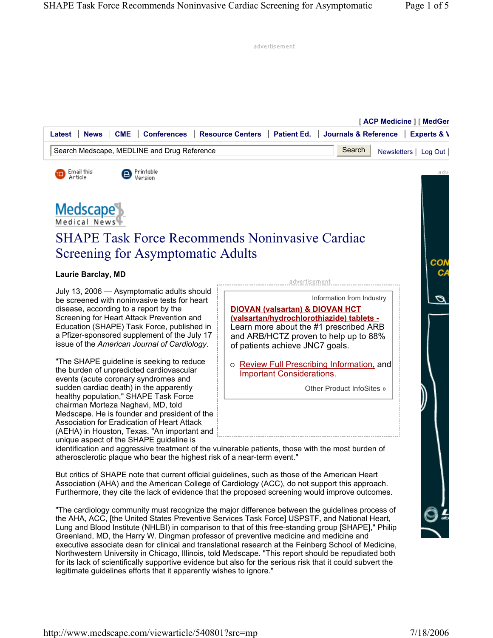advertisement

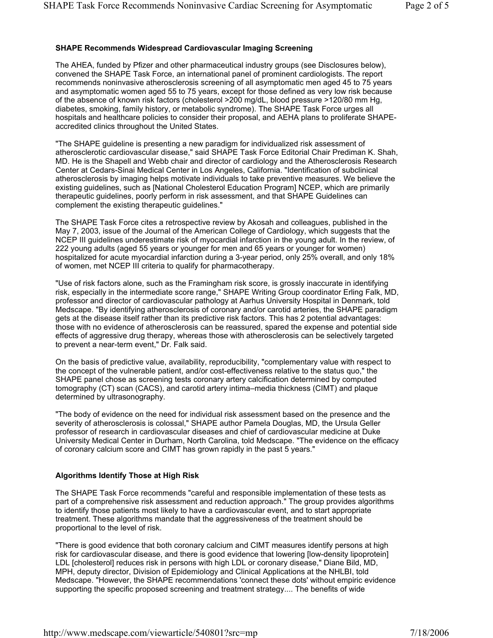## **SHAPE Recommends Widespread Cardiovascular Imaging Screening**

The AHEA, funded by Pfizer and other pharmaceutical industry groups (see Disclosures below), convened the SHAPE Task Force, an international panel of prominent cardiologists. The report recommends noninvasive atherosclerosis screening of all asymptomatic men aged 45 to 75 years and asymptomatic women aged 55 to 75 years, except for those defined as very low risk because of the absence of known risk factors (cholesterol >200 mg/dL, blood pressure >120/80 mm Hg, diabetes, smoking, family history, or metabolic syndrome). The SHAPE Task Force urges all hospitals and healthcare policies to consider their proposal, and AEHA plans to proliferate SHAPEaccredited clinics throughout the United States.

"The SHAPE guideline is presenting a new paradigm for individualized risk assessment of atherosclerotic cardiovascular disease," said SHAPE Task Force Editorial Chair Prediman K. Shah, MD. He is the Shapell and Webb chair and director of cardiology and the Atherosclerosis Research Center at Cedars-Sinai Medical Center in Los Angeles, California. "Identification of subclinical atherosclerosis by imaging helps motivate individuals to take preventive measures. We believe the existing guidelines, such as [National Cholesterol Education Program] NCEP, which are primarily therapeutic guidelines, poorly perform in risk assessment, and that SHAPE Guidelines can complement the existing therapeutic guidelines."

The SHAPE Task Force cites a retrospective review by Akosah and colleagues, published in the May 7, 2003, issue of the Journal of the American College of Cardiology, which suggests that the NCEP III guidelines underestimate risk of myocardial infarction in the young adult. In the review, of 222 young adults (aged 55 years or younger for men and 65 years or younger for women) hospitalized for acute myocardial infarction during a 3-year period, only 25% overall, and only 18% of women, met NCEP III criteria to qualify for pharmacotherapy.

"Use of risk factors alone, such as the Framingham risk score, is grossly inaccurate in identifying risk, especially in the intermediate score range," SHAPE Writing Group coordinator Erling Falk, MD, professor and director of cardiovascular pathology at Aarhus University Hospital in Denmark, told Medscape. "By identifying atherosclerosis of coronary and/or carotid arteries, the SHAPE paradigm gets at the disease itself rather than its predictive risk factors. This has 2 potential advantages: those with no evidence of atherosclerosis can be reassured, spared the expense and potential side effects of aggressive drug therapy, whereas those with atherosclerosis can be selectively targeted to prevent a near-term event," Dr. Falk said.

On the basis of predictive value, availability, reproducibility, "complementary value with respect to the concept of the vulnerable patient, and/or cost-effectiveness relative to the status quo," the SHAPE panel chose as screening tests coronary artery calcification determined by computed tomography (CT) scan (CACS), and carotid artery intima–media thickness (CIMT) and plaque determined by ultrasonography.

"The body of evidence on the need for individual risk assessment based on the presence and the severity of atherosclerosis is colossal," SHAPE author Pamela Douglas, MD, the Ursula Geller professor of research in cardiovascular diseases and chief of cardiovascular medicine at Duke University Medical Center in Durham, North Carolina, told Medscape. "The evidence on the efficacy of coronary calcium score and CIMT has grown rapidly in the past 5 years."

## **Algorithms Identify Those at High Risk**

The SHAPE Task Force recommends "careful and responsible implementation of these tests as part of a comprehensive risk assessment and reduction approach." The group provides algorithms to identify those patients most likely to have a cardiovascular event, and to start appropriate treatment. These algorithms mandate that the aggressiveness of the treatment should be proportional to the level of risk.

"There is good evidence that both coronary calcium and CIMT measures identify persons at high risk for cardiovascular disease, and there is good evidence that lowering [low-density lipoprotein] LDL [cholesterol] reduces risk in persons with high LDL or coronary disease," Diane Bild, MD, MPH, deputy director, Division of Epidemiology and Clinical Applications at the NHLBI, told Medscape. "However, the SHAPE recommendations 'connect these dots' without empiric evidence supporting the specific proposed screening and treatment strategy.... The benefits of wide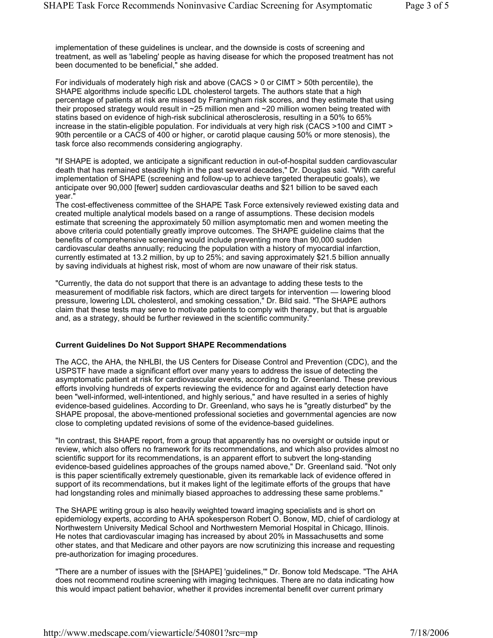implementation of these guidelines is unclear, and the downside is costs of screening and treatment, as well as 'labeling' people as having disease for which the proposed treatment has not been documented to be beneficial," she added.

For individuals of moderately high risk and above (CACS > 0 or CIMT > 50th percentile), the SHAPE algorithms include specific LDL cholesterol targets. The authors state that a high percentage of patients at risk are missed by Framingham risk scores, and they estimate that using their proposed strategy would result in ~25 million men and ~20 million women being treated with statins based on evidence of high-risk subclinical atherosclerosis, resulting in a 50% to 65% increase in the statin-eligible population. For individuals at very high risk (CACS >100 and CIMT > 90th percentile or a CACS of 400 or higher, or carotid plaque causing 50% or more stenosis), the task force also recommends considering angiography.

"If SHAPE is adopted, we anticipate a significant reduction in out-of-hospital sudden cardiovascular death that has remained steadily high in the past several decades," Dr. Douglas said. "With careful implementation of SHAPE (screening and follow-up to achieve targeted therapeutic goals), we anticipate over 90,000 [fewer] sudden cardiovascular deaths and \$21 billion to be saved each year."

The cost-effectiveness committee of the SHAPE Task Force extensively reviewed existing data and created multiple analytical models based on a range of assumptions. These decision models estimate that screening the approximately 50 million asymptomatic men and women meeting the above criteria could potentially greatly improve outcomes. The SHAPE guideline claims that the benefits of comprehensive screening would include preventing more than 90,000 sudden cardiovascular deaths annually; reducing the population with a history of myocardial infarction, currently estimated at 13.2 million, by up to 25%; and saving approximately \$21.5 billion annually by saving individuals at highest risk, most of whom are now unaware of their risk status.

"Currently, the data do not support that there is an advantage to adding these tests to the measurement of modifiable risk factors, which are direct targets for intervention — lowering blood pressure, lowering LDL cholesterol, and smoking cessation," Dr. Bild said. "The SHAPE authors claim that these tests may serve to motivate patients to comply with therapy, but that is arguable and, as a strategy, should be further reviewed in the scientific community."

#### **Current Guidelines Do Not Support SHAPE Recommendations**

The ACC, the AHA, the NHLBI, the US Centers for Disease Control and Prevention (CDC), and the USPSTF have made a significant effort over many years to address the issue of detecting the asymptomatic patient at risk for cardiovascular events, according to Dr. Greenland. These previous efforts involving hundreds of experts reviewing the evidence for and against early detection have been "well-informed, well-intentioned, and highly serious," and have resulted in a series of highly evidence-based guidelines. According to Dr. Greenland, who says he is "greatly disturbed" by the SHAPE proposal, the above-mentioned professional societies and governmental agencies are now close to completing updated revisions of some of the evidence-based guidelines.

"In contrast, this SHAPE report, from a group that apparently has no oversight or outside input or review, which also offers no framework for its recommendations, and which also provides almost no scientific support for its recommendations, is an apparent effort to subvert the long-standing evidence-based guidelines approaches of the groups named above," Dr. Greenland said. "Not only is this paper scientifically extremely questionable, given its remarkable lack of evidence offered in support of its recommendations, but it makes light of the legitimate efforts of the groups that have had longstanding roles and minimally biased approaches to addressing these same problems."

The SHAPE writing group is also heavily weighted toward imaging specialists and is short on epidemiology experts, according to AHA spokesperson Robert O. Bonow, MD, chief of cardiology at Northwestern University Medical School and Northwestern Memorial Hospital in Chicago, Illinois. He notes that cardiovascular imaging has increased by about 20% in Massachusetts and some other states, and that Medicare and other payors are now scrutinizing this increase and requesting pre-authorization for imaging procedures.

"There are a number of issues with the [SHAPE] 'guidelines,'" Dr. Bonow told Medscape. "The AHA does not recommend routine screening with imaging techniques. There are no data indicating how this would impact patient behavior, whether it provides incremental benefit over current primary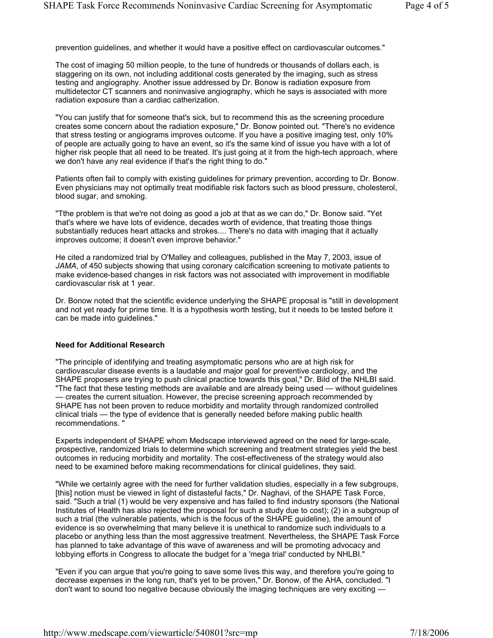prevention guidelines, and whether it would have a positive effect on cardiovascular outcomes."

The cost of imaging 50 million people, to the tune of hundreds or thousands of dollars each, is staggering on its own, not including additional costs generated by the imaging, such as stress testing and angiography. Another issue addressed by Dr. Bonow is radiation exposure from multidetector CT scanners and noninvasive angiography, which he says is associated with more radiation exposure than a cardiac catherization.

"You can justify that for someone that's sick, but to recommend this as the screening procedure creates some concern about the radiation exposure," Dr. Bonow pointed out. "There's no evidence that stress testing or angiograms improves outcome. If you have a positive imaging test, only 10% of people are actually going to have an event, so it's the same kind of issue you have with a lot of higher risk people that all need to be treated. It's just going at it from the high-tech approach, where we don't have any real evidence if that's the right thing to do."

Patients often fail to comply with existing guidelines for primary prevention, according to Dr. Bonow. Even physicians may not optimally treat modifiable risk factors such as blood pressure, cholesterol, blood sugar, and smoking.

"Tthe problem is that we're not doing as good a job at that as we can do," Dr. Bonow said. "Yet that's where we have lots of evidence, decades worth of evidence, that treating those things substantially reduces heart attacks and strokes.... There's no data with imaging that it actually improves outcome; it doesn't even improve behavior."

He cited a randomized trial by O'Malley and colleagues, published in the May 7, 2003, issue of *JAMA*, of 450 subjects showing that using coronary calcification screening to motivate patients to make evidence-based changes in risk factors was not associated with improvement in modifiable cardiovascular risk at 1 year.

Dr. Bonow noted that the scientific evidence underlying the SHAPE proposal is "still in development and not yet ready for prime time. It is a hypothesis worth testing, but it needs to be tested before it can be made into guidelines."

### **Need for Additional Research**

"The principle of identifying and treating asymptomatic persons who are at high risk for cardiovascular disease events is a laudable and major goal for preventive cardiology, and the SHAPE proposers are trying to push clinical practice towards this goal," Dr. Bild of the NHLBI said. "The fact that these testing methods are available and are already being used — without guidelines — creates the current situation. However, the precise screening approach recommended by SHAPE has not been proven to reduce morbidity and mortality through randomized controlled clinical trials — the type of evidence that is generally needed before making public health recommendations. "

Experts independent of SHAPE whom Medscape interviewed agreed on the need for large-scale, prospective, randomized trials to determine which screening and treatment strategies yield the best outcomes in reducing morbidity and mortality. The cost-effectiveness of the strategy would also need to be examined before making recommendations for clinical guidelines, they said.

"While we certainly agree with the need for further validation studies, especially in a few subgroups, [this] notion must be viewed in light of distasteful facts," Dr. Naghavi, of the SHAPE Task Force, said. "Such a trial (1) would be very expensive and has failed to find industry sponsors (the National Institutes of Health has also rejected the proposal for such a study due to cost); (2) in a subgroup of such a trial (the vulnerable patients, which is the focus of the SHAPE guideline), the amount of evidence is so overwhelming that many believe it is unethical to randomize such individuals to a placebo or anything less than the most aggressive treatment. Nevertheless, the SHAPE Task Force has planned to take advantage of this wave of awareness and will be promoting advocacy and lobbying efforts in Congress to allocate the budget for a 'mega trial' conducted by NHLBI."

"Even if you can argue that you're going to save some lives this way, and therefore you're going to decrease expenses in the long run, that's yet to be proven," Dr. Bonow, of the AHA, concluded. "I don't want to sound too negative because obviously the imaging techniques are very exciting —